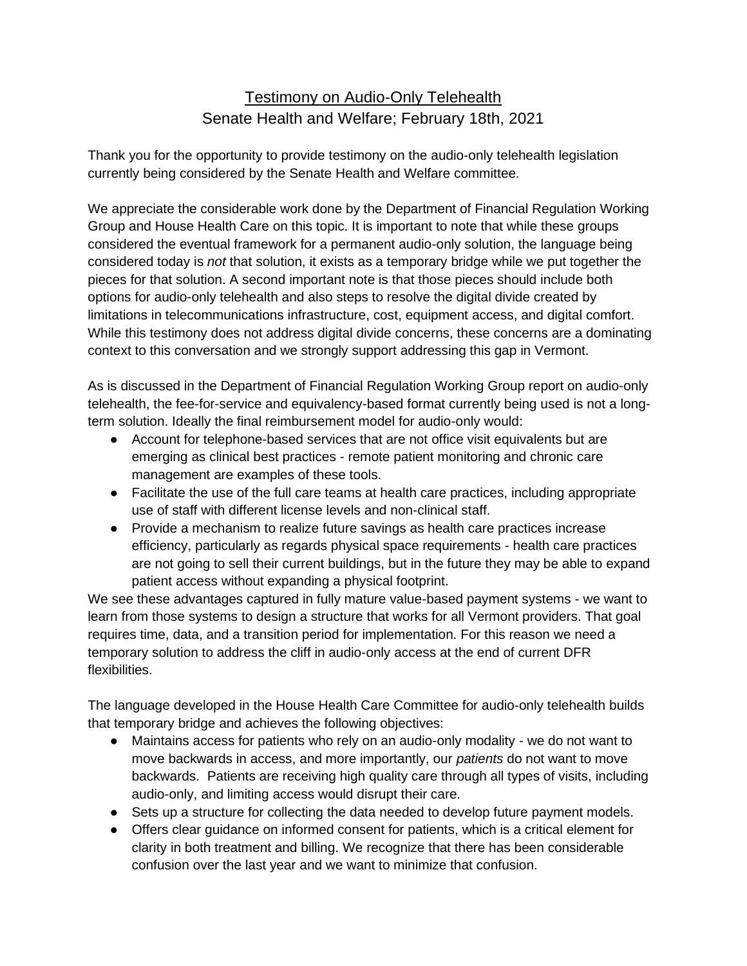# Testimony on Audio-Only Telehealth Senate Health and Welfare; February 18th, 2021

Thank you for the opportunity to provide testimony on the audio-only telehealth legislation currently being considered by the Senate Health and Welfare committee.

We appreciate the considerable work done by the Department of Financial Regulation Working Group and House Health Care on this topic. It is important to note that while these groups considered the eventual framework for a permanent audio-only solution, the language being considered today is *not* that solution, it exists as a temporary bridge while we put together the pieces for that solution. A second important note is that those pieces should include both options for audio-only telehealth and also steps to resolve the digital divide created by limitations in telecommunications infrastructure, cost, equipment access, and digital comfort. While this testimony does not address digital divide concerns, these concerns are a dominating context to this conversation and we strongly support addressing this gap in Vermont.

As is discussed in the Department of Financial Regulation Working Group report on audio-only telehealth, the fee-for-service and equivalency-based format currently being used is not a longterm solution. Ideally the final reimbursement model for audio-only would:

- Account for telephone-based services that are not office visit equivalents but are emerging as clinical best practices - remote patient monitoring and chronic care management are examples of these tools.
- Facilitate the use of the full care teams at health care practices, including appropriate use of staff with different license levels and non-clinical staff.
- Provide a mechanism to realize future savings as health care practices increase efficiency, particularly as regards physical space requirements - health care practices are not going to sell their current buildings, but in the future they may be able to expand patient access without expanding a physical footprint.

We see these advantages captured in fully mature value-based payment systems - we want to learn from those systems to design a structure that works for all Vermont providers. That goal requires time, data, and a transition period for implementation. For this reason we need a temporary solution to address the cliff in audio-only access at the end of current DFR flexibilities.

The language developed in the House Health Care Committee for audio-only telehealth builds that temporary bridge and achieves the following objectives:

- Maintains access for patients who rely on an audio-only modality we do not want to move backwards in access, and more importantly, our *patients* do not want to move backwards. Patients are receiving high quality care through all types of visits, including audio-only, and limiting access would disrupt their care.
- Sets up a structure for collecting the data needed to develop future payment models.
- Offers clear guidance on informed consent for patients, which is a critical element for clarity in both treatment and billing. We recognize that there has been considerable confusion over the last year and we want to minimize that confusion.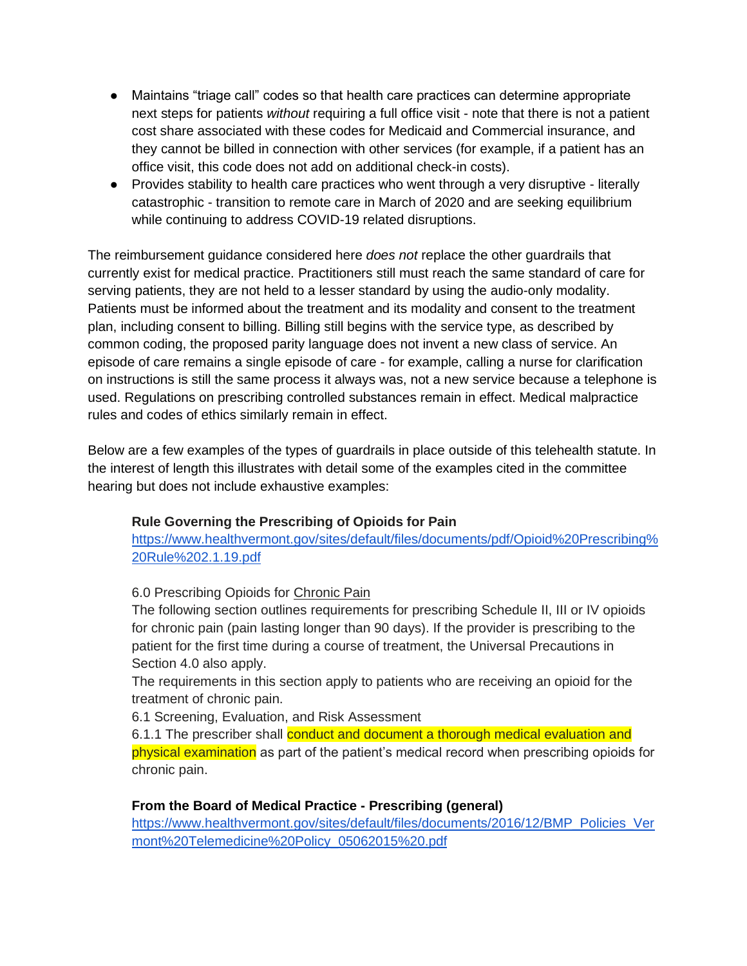- Maintains "triage call" codes so that health care practices can determine appropriate next steps for patients *without* requiring a full office visit - note that there is not a patient cost share associated with these codes for Medicaid and Commercial insurance, and they cannot be billed in connection with other services (for example, if a patient has an office visit, this code does not add on additional check-in costs).
- Provides stability to health care practices who went through a very disruptive literally catastrophic - transition to remote care in March of 2020 and are seeking equilibrium while continuing to address COVID-19 related disruptions.

The reimbursement guidance considered here *does not* replace the other guardrails that currently exist for medical practice. Practitioners still must reach the same standard of care for serving patients, they are not held to a lesser standard by using the audio-only modality. Patients must be informed about the treatment and its modality and consent to the treatment plan, including consent to billing. Billing still begins with the service type, as described by common coding, the proposed parity language does not invent a new class of service. An episode of care remains a single episode of care - for example, calling a nurse for clarification on instructions is still the same process it always was, not a new service because a telephone is used. Regulations on prescribing controlled substances remain in effect. Medical malpractice rules and codes of ethics similarly remain in effect.

Below are a few examples of the types of guardrails in place outside of this telehealth statute. In the interest of length this illustrates with detail some of the examples cited in the committee hearing but does not include exhaustive examples:

# **Rule Governing the Prescribing of Opioids for Pain**

[https://www.healthvermont.gov/sites/default/files/documents/pdf/Opioid%20Prescribing%](https://www.healthvermont.gov/sites/default/files/documents/pdf/Opioid%20Prescribing%20Rule%202.1.19.pdf) [20Rule%202.1.19.pdf](https://www.healthvermont.gov/sites/default/files/documents/pdf/Opioid%20Prescribing%20Rule%202.1.19.pdf)

### 6.0 Prescribing Opioids for Chronic Pain

The following section outlines requirements for prescribing Schedule II, III or IV opioids for chronic pain (pain lasting longer than 90 days). If the provider is prescribing to the patient for the first time during a course of treatment, the Universal Precautions in Section 4.0 also apply.

The requirements in this section apply to patients who are receiving an opioid for the treatment of chronic pain.

6.1 Screening, Evaluation, and Risk Assessment

6.1.1 The prescriber shall conduct and document a thorough medical evaluation and physical examination as part of the patient's medical record when prescribing opioids for chronic pain.

# **From the Board of Medical Practice - Prescribing (general)**

[https://www.healthvermont.gov/sites/default/files/documents/2016/12/BMP\\_Policies\\_Ver](https://www.healthvermont.gov/sites/default/files/documents/2016/12/BMP_Policies_Vermont%20Telemedicine%20Policy_05062015%20.pdf) [mont%20Telemedicine%20Policy\\_05062015%20.pdf](https://www.healthvermont.gov/sites/default/files/documents/2016/12/BMP_Policies_Vermont%20Telemedicine%20Policy_05062015%20.pdf)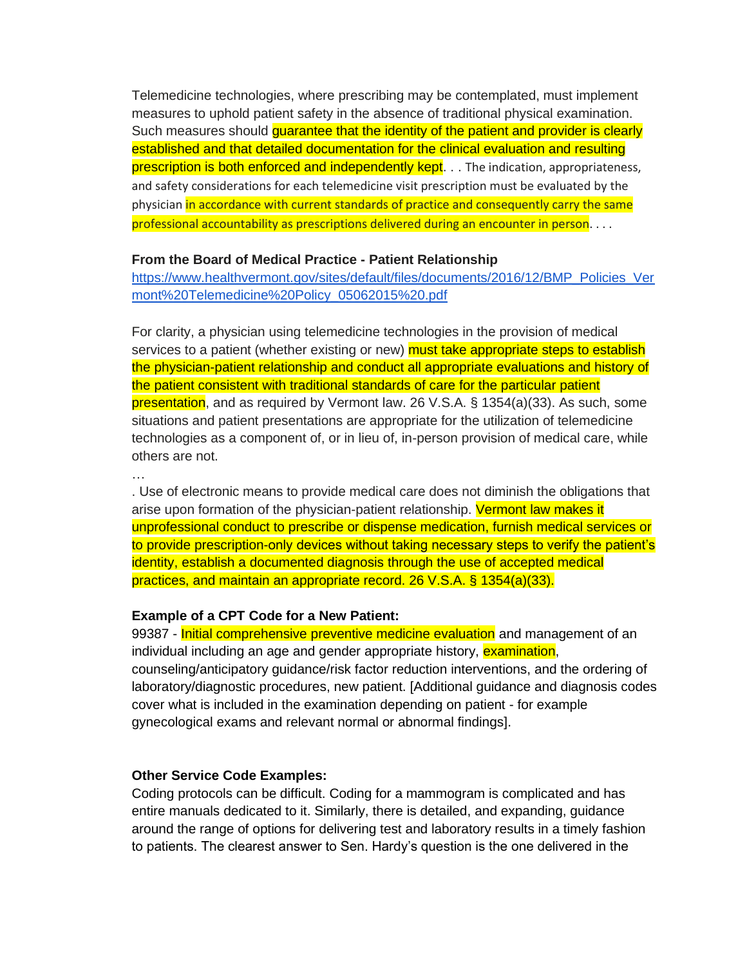Telemedicine technologies, where prescribing may be contemplated, must implement measures to uphold patient safety in the absence of traditional physical examination. Such measures should guarantee that the identity of the patient and provider is clearly established and that detailed documentation for the clinical evaluation and resulting prescription is both enforced and independently kept. . . The indication, appropriateness, and safety considerations for each telemedicine visit prescription must be evaluated by the physician in accordance with current standards of practice and consequently carry the same professional accountability as prescriptions delivered during an encounter in person. . . .

#### **From the Board of Medical Practice - Patient Relationship**

[https://www.healthvermont.gov/sites/default/files/documents/2016/12/BMP\\_Policies\\_Ver](https://www.healthvermont.gov/sites/default/files/documents/2016/12/BMP_Policies_Vermont%20Telemedicine%20Policy_05062015%20.pdf) [mont%20Telemedicine%20Policy\\_05062015%20.pdf](https://www.healthvermont.gov/sites/default/files/documents/2016/12/BMP_Policies_Vermont%20Telemedicine%20Policy_05062015%20.pdf)

For clarity, a physician using telemedicine technologies in the provision of medical services to a patient (whether existing or new) **must take appropriate steps to establish** the physician-patient relationship and conduct all appropriate evaluations and history of the patient consistent with traditional standards of care for the particular patient presentation, and as required by Vermont law. 26 V.S.A. § 1354(a)(33). As such, some situations and patient presentations are appropriate for the utilization of telemedicine technologies as a component of, or in lieu of, in-person provision of medical care, while others are not.

…

. Use of electronic means to provide medical care does not diminish the obligations that arise upon formation of the physician-patient relationship. Vermont law makes it unprofessional conduct to prescribe or dispense medication, furnish medical services or to provide prescription-only devices without taking necessary steps to verify the patient's identity, establish a documented diagnosis through the use of accepted medical practices, and maintain an appropriate record. 26 V.S.A. § 1354(a)(33).

#### **Example of a CPT Code for a New Patient:**

99387 - Initial comprehensive preventive medicine evaluation and management of an individual including an age and gender appropriate history, **examination**, counseling/anticipatory guidance/risk factor reduction interventions, and the ordering of laboratory/diagnostic procedures, new patient. [Additional guidance and diagnosis codes cover what is included in the examination depending on patient - for example gynecological exams and relevant normal or abnormal findings].

### **Other Service Code Examples:**

Coding protocols can be difficult. Coding for a mammogram is complicated and has entire manuals dedicated to it. Similarly, there is detailed, and expanding, guidance around the range of options for delivering test and laboratory results in a timely fashion to patients. The clearest answer to Sen. Hardy's question is the one delivered in the